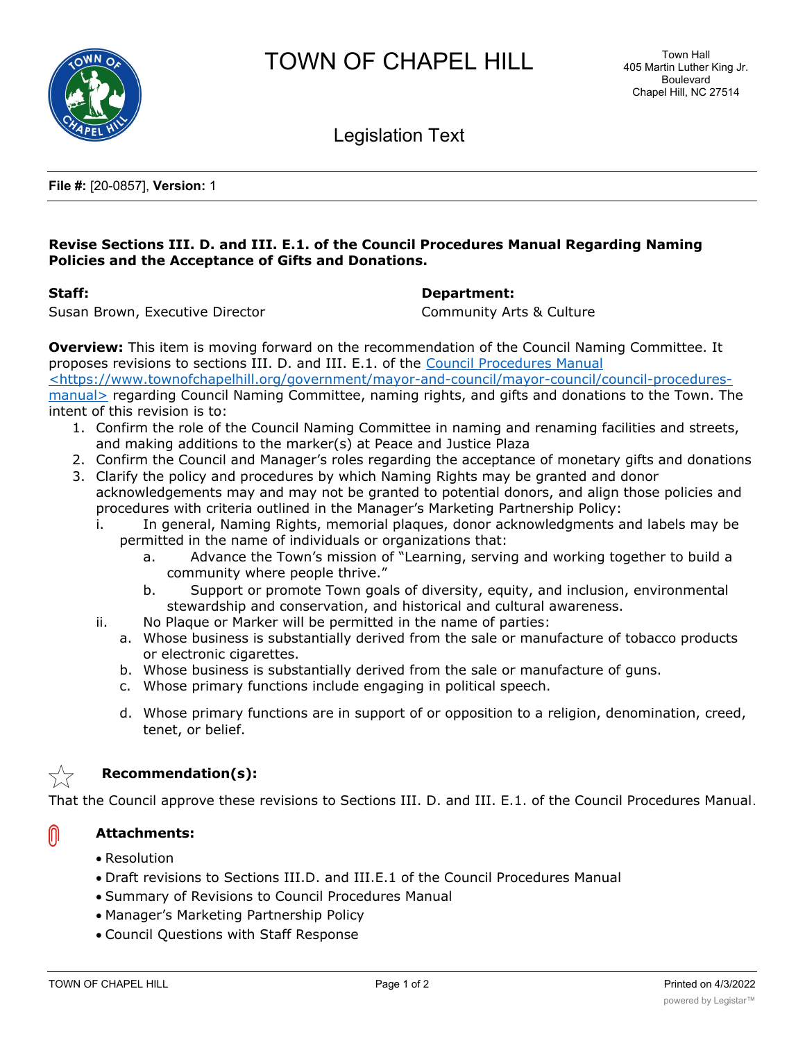



Legislation Text

**File #:** [20-0857], **Version:** 1

## **Revise Sections III. D. and III. E.1. of the Council Procedures Manual Regarding Naming Policies and the Acceptance of Gifts and Donations.**

### **Staff: Department:**

Susan Brown, Executive Director **Community Arts & Culture** 

**Overview:** This item is moving forward on the recommendation of the Council Naming Committee. It proposes revisions to sections III. D. and III. E.1. of the Council Procedures Manual

<https://www.townofchapelhill.org/government/mayor-and-council/mayor-council/council-proceduresmanual> regarding Council Naming Committee, naming rights, and gifts and donations to the Town. The intent of this revision is to:

- 1. Confirm the role of the Council Naming Committee in naming and renaming facilities and streets, and making additions to the marker(s) at Peace and Justice Plaza
- 2. Confirm the Council and Manager's roles regarding the acceptance of monetary gifts and donations
- 3. Clarify the policy and procedures by which Naming Rights may be granted and donor acknowledgements may and may not be granted to potential donors, and align those policies and procedures with criteria outlined in the Manager's Marketing Partnership Policy:
	- i. In general, Naming Rights, memorial plaques, donor acknowledgments and labels may be permitted in the name of individuals or organizations that:
		- a. Advance the Town's mission of "Learning, serving and working together to build a community where people thrive."
		- b. Support or promote Town goals of diversity, equity, and inclusion, environmental stewardship and conservation, and historical and cultural awareness.
	- ii. No Plaque or Marker will be permitted in the name of parties:
		- a. Whose business is substantially derived from the sale or manufacture of tobacco products or electronic cigarettes.
		- b. Whose business is substantially derived from the sale or manufacture of guns.
		- c. Whose primary functions include engaging in political speech.
		- d. Whose primary functions are in support of or opposition to a religion, denomination, creed, tenet, or belief.



⋒

# **Recommendation(s):**

That the Council approve these revisions to Sections III. D. and III. E.1. of the Council Procedures Manual.

## **Attachments:**

- · Resolution
- · Draft revisions to Sections III.D. and III.E.1 of the Council Procedures Manual
- · Summary of Revisions to Council Procedures Manual
- · Manager's Marketing Partnership Policy
- · Council Questions with Staff Response